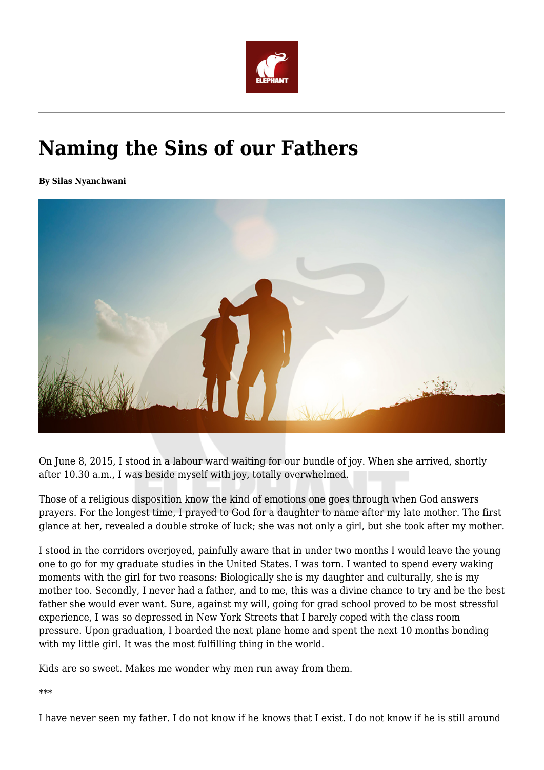

## **Naming the Sins of our Fathers**

**By Silas Nyanchwani**



On June 8, 2015, I stood in a labour ward waiting for our bundle of joy. When she arrived, shortly after 10.30 a.m., I was beside myself with joy, totally overwhelmed.

Those of a religious disposition know the kind of emotions one goes through when God answers prayers. For the longest time, I prayed to God for a daughter to name after my late mother. The first glance at her, revealed a double stroke of luck; she was not only a girl, but she took after my mother.

I stood in the corridors overjoyed, painfully aware that in under two months I would leave the young one to go for my graduate studies in the United States. I was torn. I wanted to spend every waking moments with the girl for two reasons: Biologically she is my daughter and culturally, she is my mother too. Secondly, I never had a father, and to me, this was a divine chance to try and be the best father she would ever want. Sure, against my will, going for grad school proved to be most stressful experience, I was so depressed in New York Streets that I barely coped with the class room pressure. Upon graduation, I boarded the next plane home and spent the next 10 months bonding with my little girl. It was the most fulfilling thing in the world.

Kids are so sweet. Makes me wonder why men run away from them.

\*\*\*

I have never seen my father. I do not know if he knows that I exist. I do not know if he is still around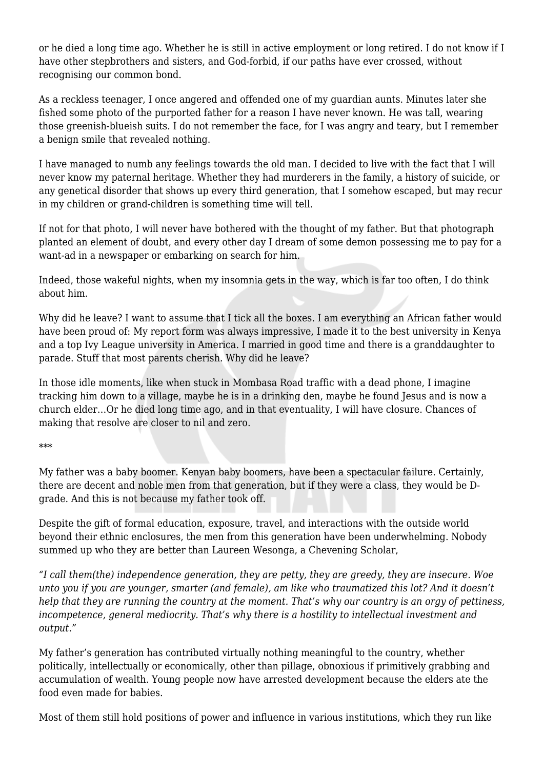or he died a long time ago. Whether he is still in active employment or long retired. I do not know if I have other stepbrothers and sisters, and God-forbid, if our paths have ever crossed, without recognising our common bond.

As a reckless teenager, I once angered and offended one of my guardian aunts. Minutes later she fished some photo of the purported father for a reason I have never known. He was tall, wearing those greenish-blueish suits. I do not remember the face, for I was angry and teary, but I remember a benign smile that revealed nothing.

I have managed to numb any feelings towards the old man. I decided to live with the fact that I will never know my paternal heritage. Whether they had murderers in the family, a history of suicide, or any genetical disorder that shows up every third generation, that I somehow escaped, but may recur in my children or grand-children is something time will tell.

If not for that photo, I will never have bothered with the thought of my father. But that photograph planted an element of doubt, and every other day I dream of some demon possessing me to pay for a want-ad in a newspaper or embarking on search for him.

Indeed, those wakeful nights, when my insomnia gets in the way, which is far too often, I do think about him.

Why did he leave? I want to assume that I tick all the boxes. I am everything an African father would have been proud of: My report form was always impressive, I made it to the best university in Kenya and a top Ivy League university in America. I married in good time and there is a granddaughter to parade. Stuff that most parents cherish. Why did he leave?

In those idle moments, like when stuck in Mombasa Road traffic with a dead phone, I imagine tracking him down to a village, maybe he is in a drinking den, maybe he found Jesus and is now a church elder…Or he died long time ago, and in that eventuality, I will have closure. Chances of making that resolve are closer to nil and zero.

\*\*\*

My father was a baby boomer. Kenyan baby boomers, have been a spectacular failure. Certainly, there are decent and noble men from that generation, but if they were a class, they would be Dgrade. And this is not because my father took off.

Despite the gift of formal education, exposure, travel, and interactions with the outside world beyond their ethnic enclosures, the men from this generation have been underwhelming. Nobody summed up who they are better than Laureen Wesonga, a Chevening Scholar,

*"I call them(the) independence generation, they are petty, they are greedy, they are insecure. Woe unto you if you are younger, smarter (and female), am like who traumatized this lot? And it doesn't help that they are running the country at the moment. That's why our country is an orgy of pettiness, incompetence, general mediocrity. That's why there is a hostility to intellectual investment and output."*

My father's generation has contributed virtually nothing meaningful to the country, whether politically, intellectually or economically, other than pillage, obnoxious if primitively grabbing and accumulation of wealth. Young people now have arrested development because the elders ate the food even made for babies.

Most of them still hold positions of power and influence in various institutions, which they run like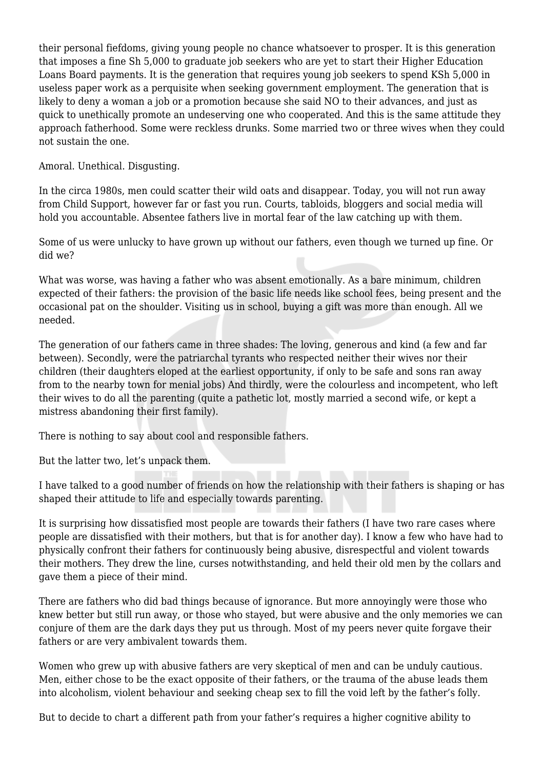their personal fiefdoms, giving young people no chance whatsoever to prosper. It is this generation that imposes a fine Sh 5,000 to graduate job seekers who are yet to start their Higher Education Loans Board payments. It is the generation that requires young job seekers to spend KSh 5,000 in useless paper work as a perquisite when seeking government employment. The generation that is likely to deny a woman a job or a promotion because she said NO to their advances, and just as quick to unethically promote an undeserving one who cooperated. And this is the same attitude they approach fatherhood. Some were reckless drunks. Some married two or three wives when they could not sustain the one.

Amoral. Unethical. Disgusting.

In the circa 1980s, men could scatter their wild oats and disappear. Today, you will not run away from Child Support, however far or fast you run. Courts, tabloids, bloggers and social media will hold you accountable. Absentee fathers live in mortal fear of the law catching up with them.

Some of us were unlucky to have grown up without our fathers, even though we turned up fine. Or did we?

What was worse, was having a father who was absent emotionally. As a bare minimum, children expected of their fathers: the provision of the basic life needs like school fees, being present and the occasional pat on the shoulder. Visiting us in school, buying a gift was more than enough. All we needed.

The generation of our fathers came in three shades: The loving, generous and kind (a few and far between). Secondly, were the patriarchal tyrants who respected neither their wives nor their children (their daughters eloped at the earliest opportunity, if only to be safe and sons ran away from to the nearby town for menial jobs) And thirdly, were the colourless and incompetent, who left their wives to do all the parenting (quite a pathetic lot, mostly married a second wife, or kept a mistress abandoning their first family).

There is nothing to say about cool and responsible fathers.

But the latter two, let's unpack them.

I have talked to a good number of friends on how the relationship with their fathers is shaping or has shaped their attitude to life and especially towards parenting.

It is surprising how dissatisfied most people are towards their fathers (I have two rare cases where people are dissatisfied with their mothers, but that is for another day). I know a few who have had to physically confront their fathers for continuously being abusive, disrespectful and violent towards their mothers. They drew the line, curses notwithstanding, and held their old men by the collars and gave them a piece of their mind.

There are fathers who did bad things because of ignorance. But more annoyingly were those who knew better but still run away, or those who stayed, but were abusive and the only memories we can conjure of them are the dark days they put us through. Most of my peers never quite forgave their fathers or are very ambivalent towards them.

Women who grew up with abusive fathers are very skeptical of men and can be unduly cautious. Men, either chose to be the exact opposite of their fathers, or the trauma of the abuse leads them into alcoholism, violent behaviour and seeking cheap sex to fill the void left by the father's folly.

But to decide to chart a different path from your father's requires a higher cognitive ability to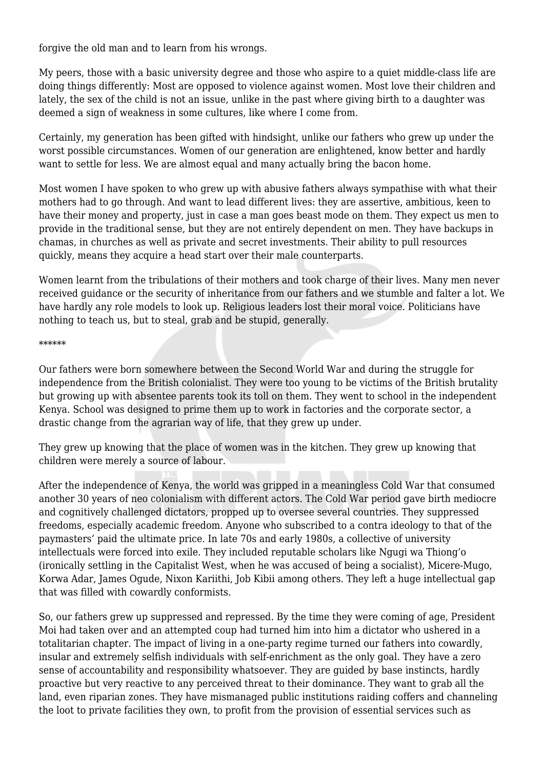forgive the old man and to learn from his wrongs.

My peers, those with a basic university degree and those who aspire to a quiet middle-class life are doing things differently: Most are opposed to violence against women. Most love their children and lately, the sex of the child is not an issue, unlike in the past where giving birth to a daughter was deemed a sign of weakness in some cultures, like where I come from.

Certainly, my generation has been gifted with hindsight, unlike our fathers who grew up under the worst possible circumstances. Women of our generation are enlightened, know better and hardly want to settle for less. We are almost equal and many actually bring the bacon home.

Most women I have spoken to who grew up with abusive fathers always sympathise with what their mothers had to go through. And want to lead different lives: they are assertive, ambitious, keen to have their money and property, just in case a man goes beast mode on them. They expect us men to provide in the traditional sense, but they are not entirely dependent on men. They have backups in chamas, in churches as well as private and secret investments. Their ability to pull resources quickly, means they acquire a head start over their male counterparts.

Women learnt from the tribulations of their mothers and took charge of their lives. Many men never received guidance or the security of inheritance from our fathers and we stumble and falter a lot. We have hardly any role models to look up. Religious leaders lost their moral voice. Politicians have nothing to teach us, but to steal, grab and be stupid, generally.

## \*\*\*\*\*\*

Our fathers were born somewhere between the Second World War and during the struggle for independence from the British colonialist. They were too young to be victims of the British brutality but growing up with absentee parents took its toll on them. They went to school in the independent Kenya. School was designed to prime them up to work in factories and the corporate sector, a drastic change from the agrarian way of life, that they grew up under.

They grew up knowing that the place of women was in the kitchen. They grew up knowing that children were merely a source of labour.

After the independence of Kenya, the world was gripped in a meaningless Cold War that consumed another 30 years of neo colonialism with different actors. The Cold War period gave birth mediocre and cognitively challenged dictators, propped up to oversee several countries. They suppressed freedoms, especially academic freedom. Anyone who subscribed to a contra ideology to that of the paymasters' paid the ultimate price. In late 70s and early 1980s, a collective of university intellectuals were forced into exile. They included reputable scholars like Ngugi wa Thiong'o (ironically settling in the Capitalist West, when he was accused of being a socialist), Micere-Mugo, Korwa Adar, James Ogude, Nixon Kariithi, Job Kibii among others. They left a huge intellectual gap that was filled with cowardly conformists.

So, our fathers grew up suppressed and repressed. By the time they were coming of age, President Moi had taken over and an attempted coup had turned him into him a dictator who ushered in a totalitarian chapter. The impact of living in a one-party regime turned our fathers into cowardly, insular and extremely selfish individuals with self-enrichment as the only goal. They have a zero sense of accountability and responsibility whatsoever. They are guided by base instincts, hardly proactive but very reactive to any perceived threat to their dominance. They want to grab all the land, even riparian zones. They have mismanaged public institutions raiding coffers and channeling the loot to private facilities they own, to profit from the provision of essential services such as